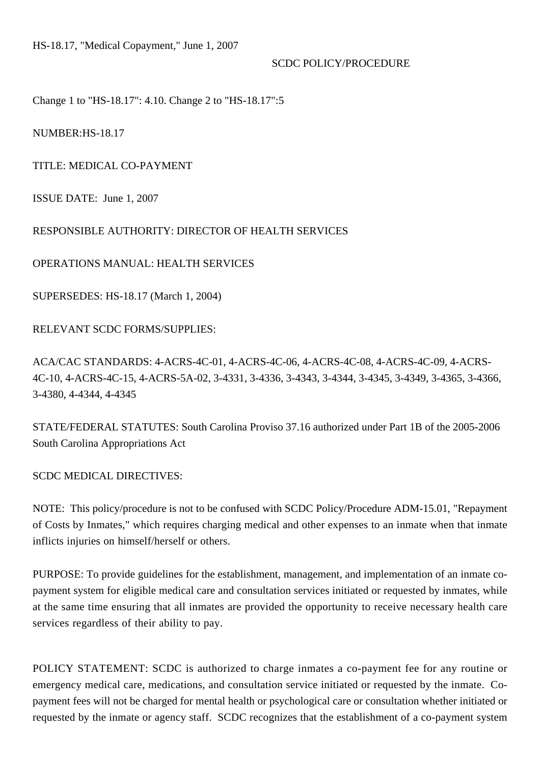#### SCDC POLICY/PROCEDURE

Change 1 to "HS-18.17": [4.10.](#chg1) [Change 2 to "HS-18.17":5](#5)

NUMBER:HS-18.17

TITLE: MEDICAL CO-PAYMENT

ISSUE DATE: June 1, 2007

### RESPONSIBLE AUTHORITY: DIRECTOR OF HEALTH SERVICES

OPERATIONS MANUAL: HEALTH SERVICES

SUPERSEDES: HS-18.17 (March 1, 2004)

RELEVANT SCDC FORMS/SUPPLIES:

ACA/CAC STANDARDS: 4-ACRS-4C-01, 4-ACRS-4C-06, 4-ACRS-4C-08, 4-ACRS-4C-09, 4-ACRS-4C-10, 4-ACRS-4C-15, 4-ACRS-5A-02, 3-4331, 3-4336, 3-4343, 3-4344, 3-4345, 3-4349, 3-4365, 3-4366, 3-4380, 4-4344, 4-4345

STATE/FEDERAL STATUTES: South Carolina Proviso 37.16 authorized under Part 1B of the 2005-2006 South Carolina Appropriations Act

SCDC MEDICAL DIRECTIVES:

NOTE: This policy/procedure is not to be confused with SCDC Policy/Procedure ADM-15.01, "Repayment of Costs by Inmates," which requires charging medical and other expenses to an inmate when that inmate inflicts injuries on himself/herself or others.

PURPOSE: To provide guidelines for the establishment, management, and implementation of an inmate copayment system for eligible medical care and consultation services initiated or requested by inmates, while at the same time ensuring that all inmates are provided the opportunity to receive necessary health care services regardless of their ability to pay.

POLICY STATEMENT: SCDC is authorized to charge inmates a co-payment fee for any routine or emergency medical care, medications, and consultation service initiated or requested by the inmate. Copayment fees will not be charged for mental health or psychological care or consultation whether initiated or requested by the inmate or agency staff. SCDC recognizes that the establishment of a co-payment system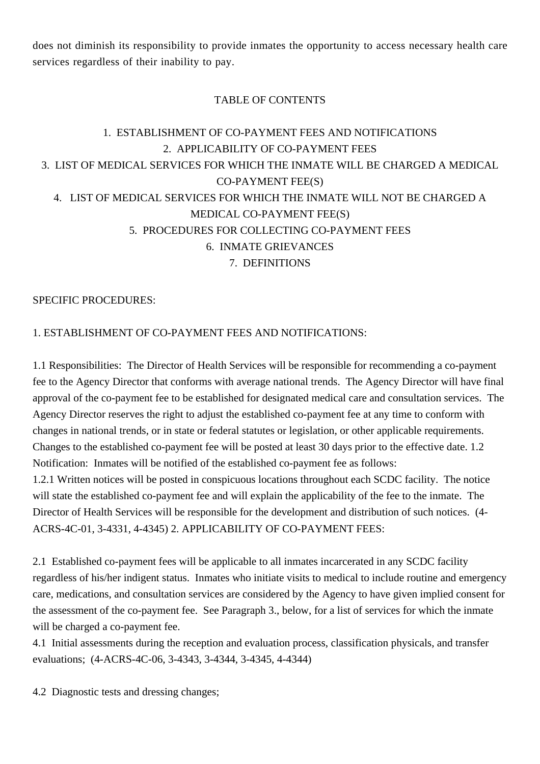does not diminish its responsibility to provide inmates the opportunity to access necessary health care services regardless of their inability to pay.

## TABLE OF CONTENTS

# 1. [ESTABLISHMENT OF CO-PAYMENT FEES AND NOTIFICATIONS](#1.%20ESTABLISHMENT%20OF%20CO-PAYMENT%20FEES%20AND%20NOTIFICATIONS:) 2. [APPLICABILITY OF CO-PAYMENT FEES](#2.%20APPLICABILITY%20OF%20CO-PAYMENT%20FEES:) 3. [LIST OF MEDICAL SERVICES FOR WHICH THE INMATE WILL BE CHARGED A MEDICAL](#3.%20LIST%20OF%20MEDICAL%20SERVICES%20FOR%20WHICH%20THE%20INMATE%20WILL%20BE%20CHARGED%20A%20MEDICAL%20CO-PAYMENT%20FEE(S):) [CO-PAYMENT FEE\(S\)](#3.%20LIST%20OF%20MEDICAL%20SERVICES%20FOR%20WHICH%20THE%20INMATE%20WILL%20BE%20CHARGED%20A%20MEDICAL%20CO-PAYMENT%20FEE(S):) 4. [LIST OF MEDICAL SERVICES FOR WHICH THE INMATE WILL NOT BE CHARGED A](#4.%20LIST%20OF%20SERVICES%20FOR%20WHICH%20THE%20INMATE%20WILL%20NOT%20BE%20CHARGED%20A%20MEDICAL%20CO-PAYMENT%20FEE(S):) [MEDICAL CO-PAYMENT FEE\(S\)](#4.%20LIST%20OF%20SERVICES%20FOR%20WHICH%20THE%20INMATE%20WILL%20NOT%20BE%20CHARGED%20A%20MEDICAL%20CO-PAYMENT%20FEE(S):) 5. [PROCEDURES FOR COLLECTING CO-PAYMENT FEES](#5.%20PROCEDURES%20FOR%20COLLECTING%20CO-PAYMENT%20FEES:) 6. [INMATE GRIEVANCES](#6.%20INMATE%20GRIEVANCES:) 7. [DEFINITIONS](#7.%20DEFINITIONS:)

### SPECIFIC PROCEDURES:

## [1. ESTABLISHMENT OF CO-PAYMENT FEES AND NOTIFICATIONS:](1.%20ESTABLISHMENT%20OF%20CO-PAYMENT%20FEES%20AND%20NOTIFICATIONS:)

1.1 Responsibilities: The Director of Health Services will be responsible for recommending a co-payment fee to the Agency Director that conforms with average national trends. The Agency Director will have final approval of the co-payment fee to be established for designated medical care and consultation services. The Agency Director reserves the right to adjust the established co-payment fee at any time to conform with changes in national trends, or in state or federal statutes or legislation, or other applicable requirements. Changes to the established co-payment fee will be posted at least 30 days prior to the effective date. 1.2 Notification: Inmates will be notified of the established co-payment fee as follows:

1.2.1 Written notices will be posted in conspicuous locations throughout each SCDC facility. The notice will state the established co-payment fee and will explain the applicability of the fee to the inmate. The Director of Health Services will be responsible for the development and distribution of such notices. (4- ACRS-4C-01, 3-4331, 4-4345) [2. APPLICABILITY OF CO-PAYMENT FEES:](2.%20APPLICABILITY%20OF%20CO-PAYMENT%20FEES:)

2.1 Established co-payment fees will be applicable to all inmates incarcerated in any SCDC facility regardless of his/her indigent status. Inmates who initiate visits to medical to include routine and emergency care, medications, and consultation services are considered by the Agency to have given implied consent for the assessment of the co-payment fee. See Paragraph 3., below, for a list of services for which the inmate will be charged a co-payment fee.

4.1 Initial assessments during the reception and evaluation process, classification physicals, and transfer evaluations; (4-ACRS-4C-06, 3-4343, 3-4344, 3-4345, 4-4344)

4.2 Diagnostic tests and dressing changes;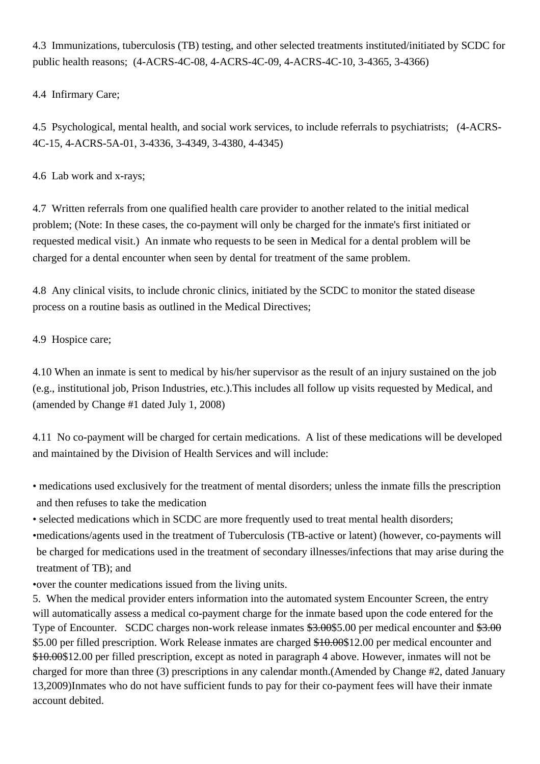4.3 Immunizations, tuberculosis (TB) testing, and other selected treatments instituted/initiated by SCDC for public health reasons; (4-ACRS-4C-08, 4-ACRS-4C-09, 4-ACRS-4C-10, 3-4365, 3-4366)

4.4 Infirmary Care;

4.5 Psychological, mental health, and social work services, to include referrals to psychiatrists; (4-ACRS-4C-15, 4-ACRS-5A-01, 3-4336, 3-4349, 3-4380, 4-4345)

4.6 Lab work and x-rays;

4.7 Written referrals from one qualified health care provider to another related to the initial medical problem; (Note: In these cases, the co-payment will only be charged for the inmate's first initiated or requested medical visit.) An inmate who requests to be seen in Medical for a dental problem will be charged for a dental encounter when seen by dental for treatment of the same problem.

4.8 Any clinical visits, to include chronic clinics, initiated by the SCDC to monitor the stated disease process on a routine basis as outlined in the Medical Directives;

4.9 Hospice care;

4.10 When an inmate is sent to medical by his/her supervisor as the result of an injury sustained on the job (e.g., institutional job, Prison Industries, etc.).This includes all follow up visits requested by Medical, and (amended by Change #1 dated July 1, 2008)

4.11 No co-payment will be charged for certain medications. A list of these medications will be developed and maintained by the Division of Health Services and will include:

• medications used exclusively for the treatment of mental disorders; unless the inmate fills the prescription and then refuses to take the medication

• selected medications which in SCDC are more frequently used to treat mental health disorders;

• medications/agents used in the treatment of Tuberculosis (TB-active or latent) (however, co-payments will be charged for medications used in the treatment of secondary illnesses/infections that may arise during the treatment of TB); and

• over the counter medications issued from the living units.

5. When the medical provider enters information into the automated system Encounter Screen, the entry will automatically assess a medical co-payment charge for the inmate based upon the code entered for the Type of Encounter. SCDC charges non-work release inmates \$3.00\$5.00 per medical encounter and \$3.00 \$5.00 per filled prescription. Work Release inmates are charged \$10.00\$12.00 per medical encounter and \$10.00\$12.00 per filled prescription, except as noted in paragraph 4 above. However, inmates will not be charged for more than three (3) prescriptions in any calendar month.(Amended by Change #2, dated January 13,2009)Inmates who do not have sufficient funds to pay for their co-payment fees will have their inmate account debited.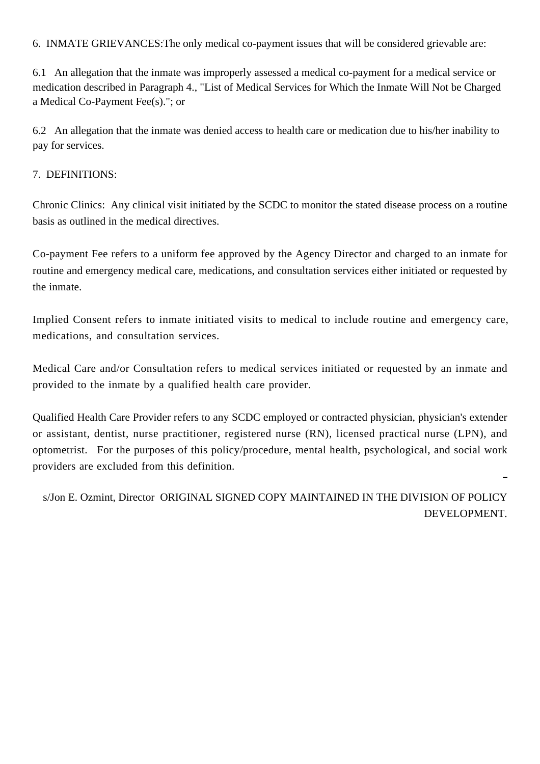[6. INMATE GRIEVANCES:T](6.%20INMATE%20GRIEVANCES:)he only medical co-payment issues that will be considered grievable are:

6.1 An allegation that the inmate was improperly assessed a medical co-payment for a medical service or medication described in Paragraph 4., "List of Medical Services for Which the Inmate Will Not be Charged a Medical Co-Payment Fee(s)."; or

6.2 An allegation that the inmate was denied access to health care or medication due to his/her inability to pay for services.

## [7. DEFINITIONS:](7.%20DEFINITIONS:)

Chronic Clinics: Any clinical visit initiated by the SCDC to monitor the stated disease process on a routine basis as outlined in the medical directives.

Co-payment Fee refers to a uniform fee approved by the Agency Director and charged to an inmate for routine and emergency medical care, medications, and consultation services either initiated or requested by the inmate.

Implied Consent refers to inmate initiated visits to medical to include routine and emergency care, medications, and consultation services.

Medical Care and/or Consultation refers to medical services initiated or requested by an inmate and provided to the inmate by a qualified health care provider.

Qualified Health Care Provider refers to any SCDC employed or contracted physician, physician's extender or assistant, dentist, nurse practitioner, registered nurse (RN), licensed practical nurse (LPN), and optometrist. For the purposes of this policy/procedure, mental health, psychological, and social work providers are excluded from this definition.

 s/Jon E. Ozmint, Director ORIGINAL SIGNED COPY MAINTAINED IN THE DIVISION OF POLICY DEVELOPMENT.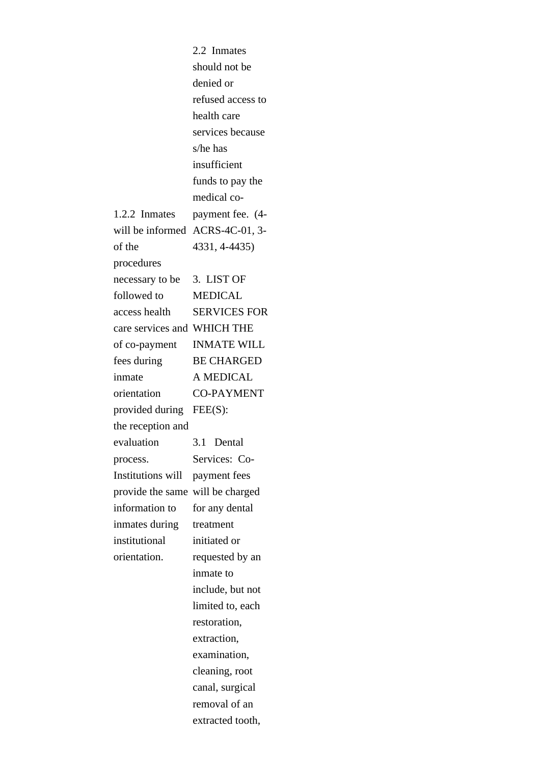|                             | 2.2 Inmates         |
|-----------------------------|---------------------|
|                             | should not be       |
|                             | denied or           |
|                             | refused access to   |
|                             | health care         |
|                             | services because    |
|                             | s/he has            |
|                             | insufficient        |
|                             | funds to pay the    |
|                             | medical co-         |
| 1.2.2 Inmates               | payment fee. (4-    |
| will be informed            | ACRS-4C-01, 3-      |
| of the                      | 4331, 4-4435)       |
| procedures                  |                     |
| necessary to be             | 3. LIST OF          |
| followed to                 | <b>MEDICAL</b>      |
| access health               | <b>SERVICES FOR</b> |
| care services and WHICH THE |                     |
| of co-payment               | <b>INMATE WILL</b>  |
| fees during                 | <b>BE CHARGED</b>   |
| inmate                      | A MEDICAL           |
| orientation                 | <b>CO-PAYMENT</b>   |
| provided during             | $FEE(S)$ :          |
| the reception and           |                     |
| evaluation                  | 3.1<br>Dental       |
| process.                    | Services: Co-       |
| <b>Institutions will</b>    | payment fees        |
| provide the same            | will be charged     |
|                             |                     |
| information to              | for any dental      |
| inmates during              | treatment           |
| institutional               | initiated or        |
| orientation.                | requested by an     |
|                             | inmate to           |
|                             | include, but not    |
|                             | limited to, each    |
|                             | restoration,        |
|                             | extraction,         |
|                             | examination,        |
|                             | cleaning, root      |
|                             | canal, surgical     |
|                             | removal of an       |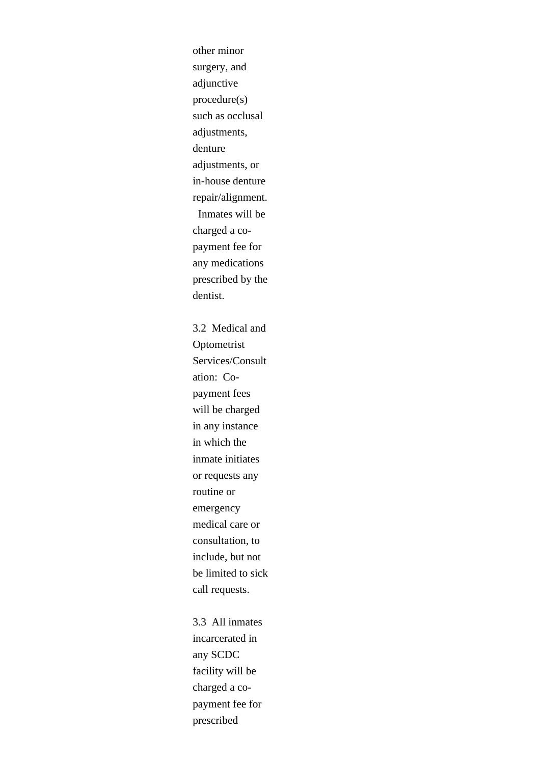other minor surgery, and adjunctive procedure(s) such as occlusal adjustments, denture adjustments, or in-house denture repair/alignment. Inmates will be charged a copayment fee for any medications prescribed by the dentist. 3.2 Medical and Optometrist Services/Consult ation: Copayment fees will be charged in any instance in which the inmate initiates or requests any routine or emergency medical care or consultation, to include, but not be limited to sick call requests.

3.3 All inmates incarcerated in any SCDC facility will be charged a copayment fee for prescribed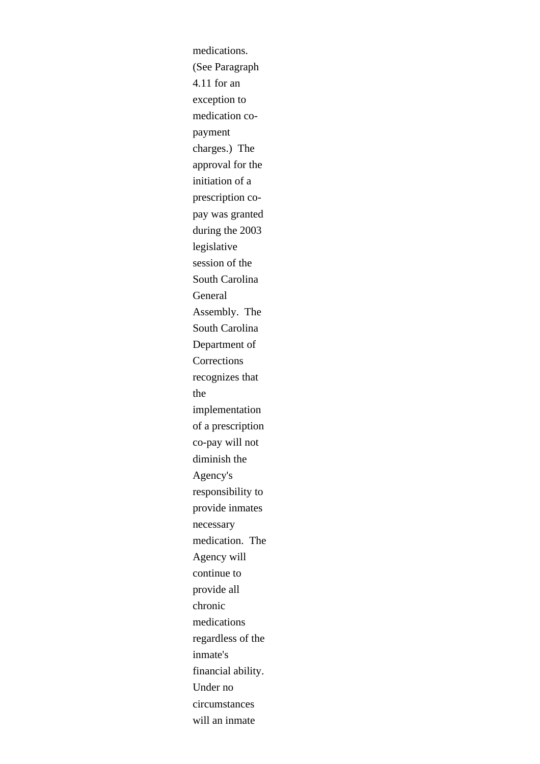medications. (See Paragraph 4.11 for an exception to medication copayment charges.) The approval for the initiation of a prescription copay was granted during the 2003 legislative session of the South Carolina General Assembly. The South Carolina Department of **Corrections** recognizes that the implementation of a prescription co-pay will not diminish the Agency's responsibility to provide inmates necessary medication. The Agency will continue to provide all chronic medications regardless of the inmate's financial ability. Under no circumstances will an inmate